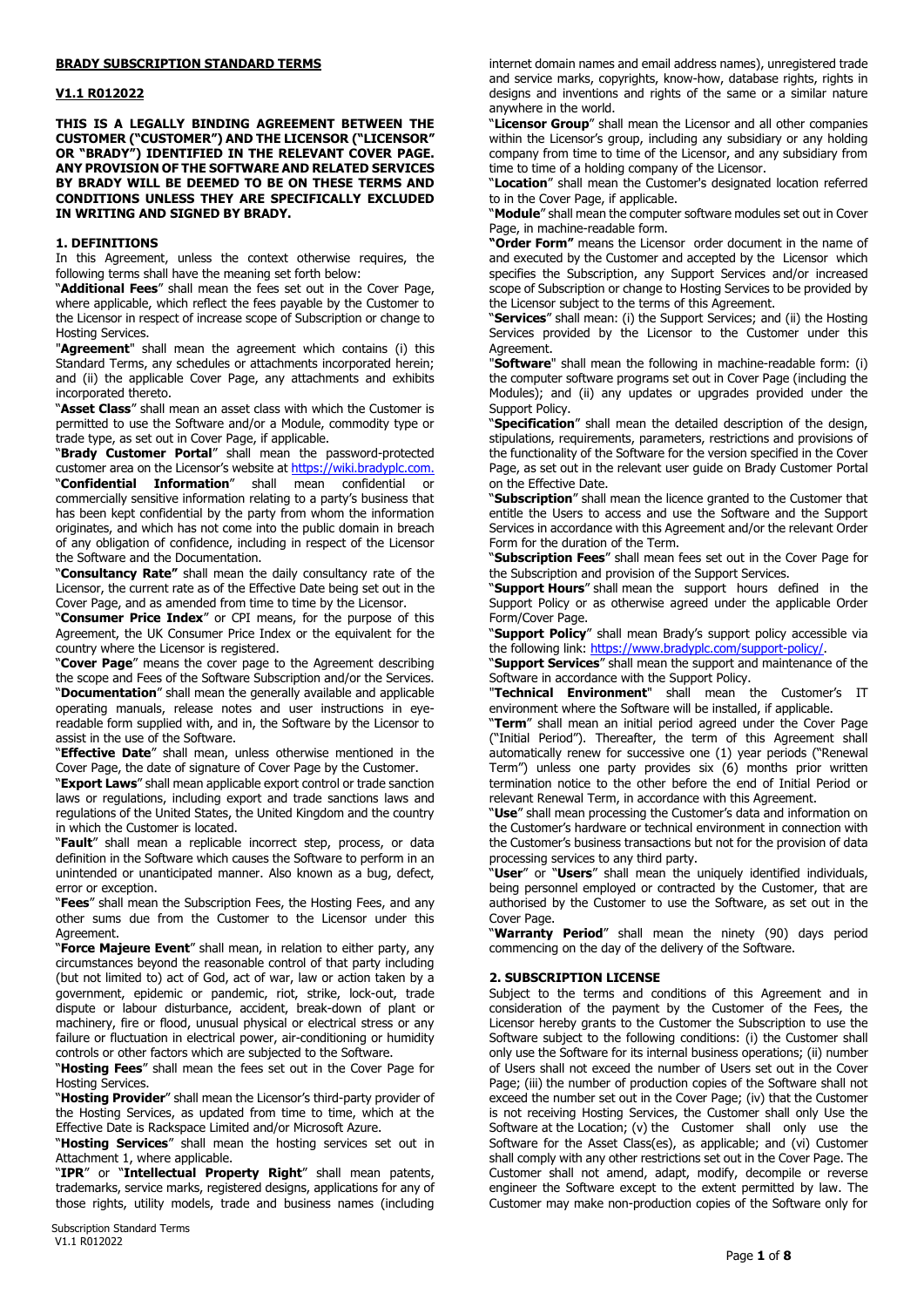#### **BRADY SUBSCRIPTION STANDARD TERMS**

#### **V1.1 R012022**

**THIS IS A LEGALLY BINDING AGREEMENT BETWEEN THE CUSTOMER ("CUSTOMER") AND THE LICENSOR ("LICENSOR" OR "BRADY") IDENTIFIED IN THE RELEVANT COVER PAGE. ANY PROVISION OF THE SOFTWARE AND RELATED SERVICES BY BRADY WILL BE DEEMED TO BE ON THESE TERMS AND CONDITIONS UNLESS THEY ARE SPECIFICALLY EXCLUDED IN WRITING AND SIGNED BY BRADY.**

#### **1. DEFINITIONS**

In this Agreement, unless the context otherwise requires, the following terms shall have the meaning set forth below:

"**Additional Fees**" shall mean the fees set out in the Cover Page, where applicable, which reflect the fees payable by the Customer to the Licensor in respect of increase scope of Subscription or change to Hosting Services.

"**Agreement**" shall mean the agreement which contains (i) this Standard Terms, any schedules or attachments incorporated herein; and (ii) the applicable Cover Page, any attachments and exhibits incorporated thereto.

"**Asset Class**" shall mean an asset class with which the Customer is permitted to use the Software and/or a Module, commodity type or trade type, as set out in Cover Page, if applicable.

"**Brady Customer Portal**" shall mean the password-protected customer area on the Licensor's website at [https://wiki.bradyplc.com.](https://wiki.bradyplc.com/) "**Confidential Information**" shall mean confidential or commercially sensitive information relating to a party's business that has been kept confidential by the party from whom the information originates, and which has not come into the public domain in breach of any obligation of confidence, including in respect of the Licensor the Software and the Documentation.

"**Consultancy Rate"** shall mean the daily consultancy rate of the Licensor, the current rate as of the Effective Date being set out in the Cover Page, and as amended from time to time by the Licensor.

"**Consumer Price Index**" or CPI means, for the purpose of this Agreement, the UK Consumer Price Index or the equivalent for the country where the Licensor is registered.

"**Cover Page**" means the cover page to the Agreement describing the scope and Fees of the Software Subscription and/or the Services. "**Documentation**" shall mean the generally available and applicable operating manuals, release notes and user instructions in eyereadable form supplied with, and in, the Software by the Licensor to assist in the use of the Software.

"**Effective Date**" shall mean, unless otherwise mentioned in the Cover Page, the date of signature of Cover Page by the Customer.

"**Export Laws**" shall mean applicable export control or trade sanction laws or regulations, including export and trade sanctions laws and regulations of the United States, the United Kingdom and the country in which the Customer is located.

"**Fault**" shall mean a replicable incorrect step, process, or data definition in the Software which causes the Software to perform in an unintended or unanticipated manner. Also known as a bug, defect, error or exception.

"**Fees**" shall mean the Subscription Fees, the Hosting Fees, and any other sums due from the Customer to the Licensor under this Agreement.

"**Force Majeure Event**" shall mean, in relation to either party, any circumstances beyond the reasonable control of that party including (but not limited to) act of God, act of war, law or action taken by a government, epidemic or pandemic, riot, strike, lock-out, trade dispute or labour disturbance, accident, break-down of plant or machinery, fire or flood, unusual physical or electrical stress or any failure or fluctuation in electrical power, air-conditioning or humidity controls or other factors which are subjected to the Software.

"**Hosting Fees**" shall mean the fees set out in the Cover Page for Hosting Services.

"**Hosting Provider**" shall mean the Licensor's third-party provider of the Hosting Services, as updated from time to time, which at the Effective Date is Rackspace Limited and/or Microsoft Azure.

"**Hosting Services**" shall mean the hosting services set out in Attachment 1, where applicable.

"**IPR**" or "**Intellectual Property Right**" shall mean patents, trademarks, service marks, registered designs, applications for any of those rights, utility models, trade and business names (including

internet domain names and email address names), unregistered trade and service marks, copyrights, know-how, database rights, rights in designs and inventions and rights of the same or a similar nature anywhere in the world.

"**Licensor Group**" shall mean the Licensor and all other companies within the Licensor's group, including any subsidiary or any holding company from time to time of the Licensor, and any subsidiary from time to time of a holding company of the Licensor.

"**Location**" shall mean the Customer's designated location referred to in the Cover Page, if applicable.

"**Module**" shall mean the computer software modules set out in Cover Page, in machine-readable form.

**"Order Form"** means the Licensor order document in the name of and executed by the Customer and accepted by the Licensor which specifies the Subscription, any Support Services and/or increased scope of Subscription or change to Hosting Services to be provided by the Licensor subject to the terms of this Agreement.

"**Services**" shall mean: (i) the Support Services; and (ii) the Hosting Services provided by the Licensor to the Customer under this Agreement.

"**Software**" shall mean the following in machine-readable form: (i) the computer software programs set out in Cover Page (including the Modules); and (ii) any updates or upgrades provided under the Support Policy.

"**Specification**" shall mean the detailed description of the design, stipulations, requirements, parameters, restrictions and provisions of the functionality of the Software for the version specified in the Cover Page, as set out in the relevant user guide on Brady Customer Portal on the Effective Date.

"**Subscription**" shall mean the licence granted to the Customer that entitle the Users to access and use the Software and the Support Services in accordance with this Agreement and/or the relevant Order Form for the duration of the Term.

"**Subscription Fees**" shall mean fees set out in the Cover Page for the Subscription and provision of the Support Services.

"**Support Hours**" shall mean the support hours defined in the Support Policy or as otherwise agreed under the applicable Order Form/Cover Page.

"**Support Policy**" shall mean Brady's support policy accessible via the following link[: https://www.bradyplc.com/support-policy/.](https://www.bradyplc.com/support-policy/)

"**Support Services**" shall mean the support and maintenance of the Software in accordance with the Support Policy.

"**Technical Environment**" shall mean the Customer's IT environment where the Software will be installed, if applicable.

"**Term**" shall mean an initial period agreed under the Cover Page ("Initial Period"). Thereafter, the term of this Agreement shall automatically renew for successive one (1) year periods ("Renewal Term") unless one party provides six (6) months prior written termination notice to the other before the end of Initial Period or relevant Renewal Term, in accordance with this Agreement.

"**Use**" shall mean processing the Customer's data and information on the Customer's hardware or technical environment in connection with the Customer's business transactions but not for the provision of data processing services to any third party.

"**User**" or "**Users**" shall mean the uniquely identified individuals, being personnel employed or contracted by the Customer, that are authorised by the Customer to use the Software, as set out in the Cover Page.

"**Warranty Period**" shall mean the ninety (90) days period commencing on the day of the delivery of the Software.

#### **2. SUBSCRIPTION LICENSE**

Subject to the terms and conditions of this Agreement and in consideration of the payment by the Customer of the Fees, the Licensor hereby grants to the Customer the Subscription to use the Software subject to the following conditions: (i) the Customer shall only use the Software for its internal business operations; (ii) number of Users shall not exceed the number of Users set out in the Cover Page; (iii) the number of production copies of the Software shall not exceed the number set out in the Cover Page; (iv) that the Customer is not receiving Hosting Services, the Customer shall only Use the Software at the Location; (v) the Customer shall only use the Software for the Asset Class(es), as applicable; and (vi) Customer shall comply with any other restrictions set out in the Cover Page. The Customer shall not amend, adapt, modify, decompile or reverse engineer the Software except to the extent permitted by law. The Customer may make non-production copies of the Software only for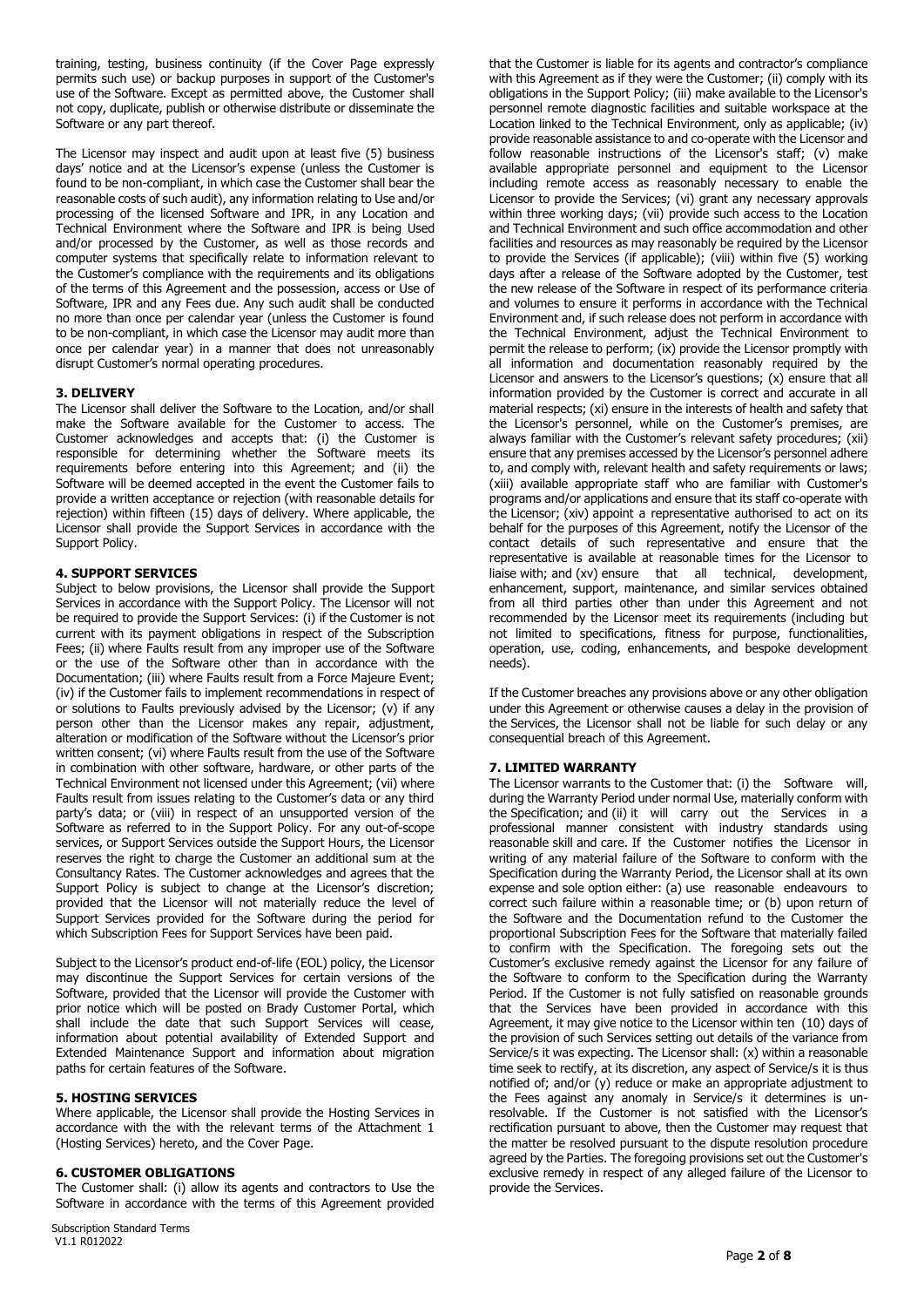training, testing, business continuity (if the Cover Page expressly permits such use) or backup purposes in support of the Customer's use of the Software. Except as permitted above, the Customer shall not copy, duplicate, publish or otherwise distribute or disseminate the Software or any part thereof.

The Licensor may inspect and audit upon at least five (5) business days' notice and at the Licensor's expense (unless the Customer is found to be non-compliant, in which case the Customer shall bear the reasonable costs of such audit), any information relating to Use and/or processing of the licensed Software and IPR, in any Location and Technical Environment where the Software and IPR is being Used and/or processed by the Customer, as well as those records and computer systems that specifically relate to information relevant to the Customer's compliance with the requirements and its obligations of the terms of this Agreement and the possession, access or Use of Software, IPR and any Fees due. Any such audit shall be conducted no more than once per calendar year (unless the Customer is found to be non-compliant, in which case the Licensor may audit more than once per calendar year) in a manner that does not unreasonably disrupt Customer's normal operating procedures.

## **3. DELIVERY**

The Licensor shall deliver the Software to the Location, and/or shall make the Software available for the Customer to access. The Customer acknowledges and accepts that: (i) the Customer is responsible for determining whether the Software meets its requirements before entering into this Agreement; and (ii) the Software will be deemed accepted in the event the Customer fails to provide a written acceptance or rejection (with reasonable details for rejection) within fifteen (15) days of delivery. Where applicable, the Licensor shall provide the Support Services in accordance with the Support Policy.

## **4. SUPPORT SERVICES**

Subject to below provisions, the Licensor shall provide the Support Services in accordance with the Support Policy. The Licensor will not be required to provide the Support Services: (i) if the Customer is not current with its payment obligations in respect of the Subscription Fees; (ii) where Faults result from any improper use of the Software or the use of the Software other than in accordance with the Documentation; (iii) where Faults result from a Force Majeure Event; (iv) if the Customer fails to implement recommendations in respect of or solutions to Faults previously advised by the Licensor; (v) if any person other than the Licensor makes any repair, adjustment, alteration or modification of the Software without the Licensor's prior written consent; (vi) where Faults result from the use of the Software in combination with other software, hardware, or other parts of the Technical Environment not licensed under this Agreement; (vii) where Faults result from issues relating to the Customer's data or any third party's data; or (viii) in respect of an unsupported version of the Software as referred to in the Support Policy. For any out-of-scope services, or Support Services outside the Support Hours, the Licensor reserves the right to charge the Customer an additional sum at the Consultancy Rates. The Customer acknowledges and agrees that the Support Policy is subject to change at the Licensor's discretion; provided that the Licensor will not materially reduce the level of Support Services provided for the Software during the period for which Subscription Fees for Support Services have been paid.

Subject to the Licensor's product end-of-life (EOL) policy, the Licensor may discontinue the Support Services for certain versions of the Software, provided that the Licensor will provide the Customer with prior notice which will be posted on Brady Customer Portal, which shall include the date that such Support Services will cease, information about potential availability of Extended Support and Extended Maintenance Support and information about migration paths for certain features of the Software.

## **5. HOSTING SERVICES**

Where applicable, the Licensor shall provide the Hosting Services in accordance with the with the relevant terms of the Attachment 1 (Hosting Services) hereto, and the Cover Page.

## **6. CUSTOMER OBLIGATIONS**

The Customer shall: (i) allow its agents and contractors to Use the Software in accordance with the terms of this Agreement provided

that the Customer is liable for its agents and contractor's compliance with this Agreement as if they were the Customer; (ii) comply with its obligations in the Support Policy; (iii) make available to the Licensor's personnel remote diagnostic facilities and suitable workspace at the Location linked to the Technical Environment, only as applicable; (iv) provide reasonable assistance to and co-operate with the Licensor and follow reasonable instructions of the Licensor's staff; (v) make available appropriate personnel and equipment to the Licensor including remote access as reasonably necessary to enable the Licensor to provide the Services; (vi) grant any necessary approvals within three working days; (vii) provide such access to the Location and Technical Environment and such office accommodation and other facilities and resources as may reasonably be required by the Licensor to provide the Services (if applicable); (viii) within five (5) working days after a release of the Software adopted by the Customer, test the new release of the Software in respect of its performance criteria and volumes to ensure it performs in accordance with the Technical Environment and, if such release does not perform in accordance with the Technical Environment, adjust the Technical Environment to permit the release to perform; (ix) provide the Licensor promptly with all information and documentation reasonably required by the Licensor and answers to the Licensor's questions; (x) ensure that all information provided by the Customer is correct and accurate in all material respects; (xi) ensure in the interests of health and safety that the Licensor's personnel, while on the Customer's premises, are always familiar with the Customer's relevant safety procedures; (xii) ensure that any premises accessed by the Licensor's personnel adhere to, and comply with, relevant health and safety requirements or laws; (xiii) available appropriate staff who are familiar with Customer's programs and/or applications and ensure that its staff co-operate with the Licensor; (xiv) appoint a representative authorised to act on its behalf for the purposes of this Agreement, notify the Licensor of the contact details of such representative and ensure that the representative is available at reasonable times for the Licensor to liaise with; and (xv) ensure that all technical, development, enhancement, support, maintenance, and similar services obtained from all third parties other than under this Agreement and not recommended by the Licensor meet its requirements (including but not limited to specifications, fitness for purpose, functionalities, operation, use, coding, enhancements, and bespoke development needs).

If the Customer breaches any provisions above or any other obligation under this Agreement or otherwise causes a delay in the provision of the Services, the Licensor shall not be liable for such delay or any consequential breach of this Agreement.

## **7. LIMITED WARRANTY**

The Licensor warrants to the Customer that: (i) the Software will, during the Warranty Period under normal Use, materially conform with the Specification; and (ii) it will carry out the Services in a professional manner consistent with industry standards using reasonable skill and care. If the Customer notifies the Licensor in writing of any material failure of the Software to conform with the Specification during the Warranty Period, the Licensor shall at its own expense and sole option either: (a) use reasonable endeavours to correct such failure within a reasonable time; or (b) upon return of the Software and the Documentation refund to the Customer the proportional Subscription Fees for the Software that materially failed to confirm with the Specification. The foregoing sets out the Customer's exclusive remedy against the Licensor for any failure of the Software to conform to the Specification during the Warranty Period. If the Customer is not fully satisfied on reasonable grounds that the Services have been provided in accordance with this Agreement, it may give notice to the Licensor within ten (10) days of the provision of such Services setting out details of the variance from Service/s it was expecting. The Licensor shall: (x) within a reasonable time seek to rectify, at its discretion, any aspect of Service/s it is thus notified of; and/or (y) reduce or make an appropriate adjustment to the Fees against any anomaly in Service/s it determines is unresolvable. If the Customer is not satisfied with the Licensor's rectification pursuant to above, then the Customer may request that the matter be resolved pursuant to the dispute resolution procedure agreed by the Parties. The foregoing provisions set out the Customer's exclusive remedy in respect of any alleged failure of the Licensor to provide the Services.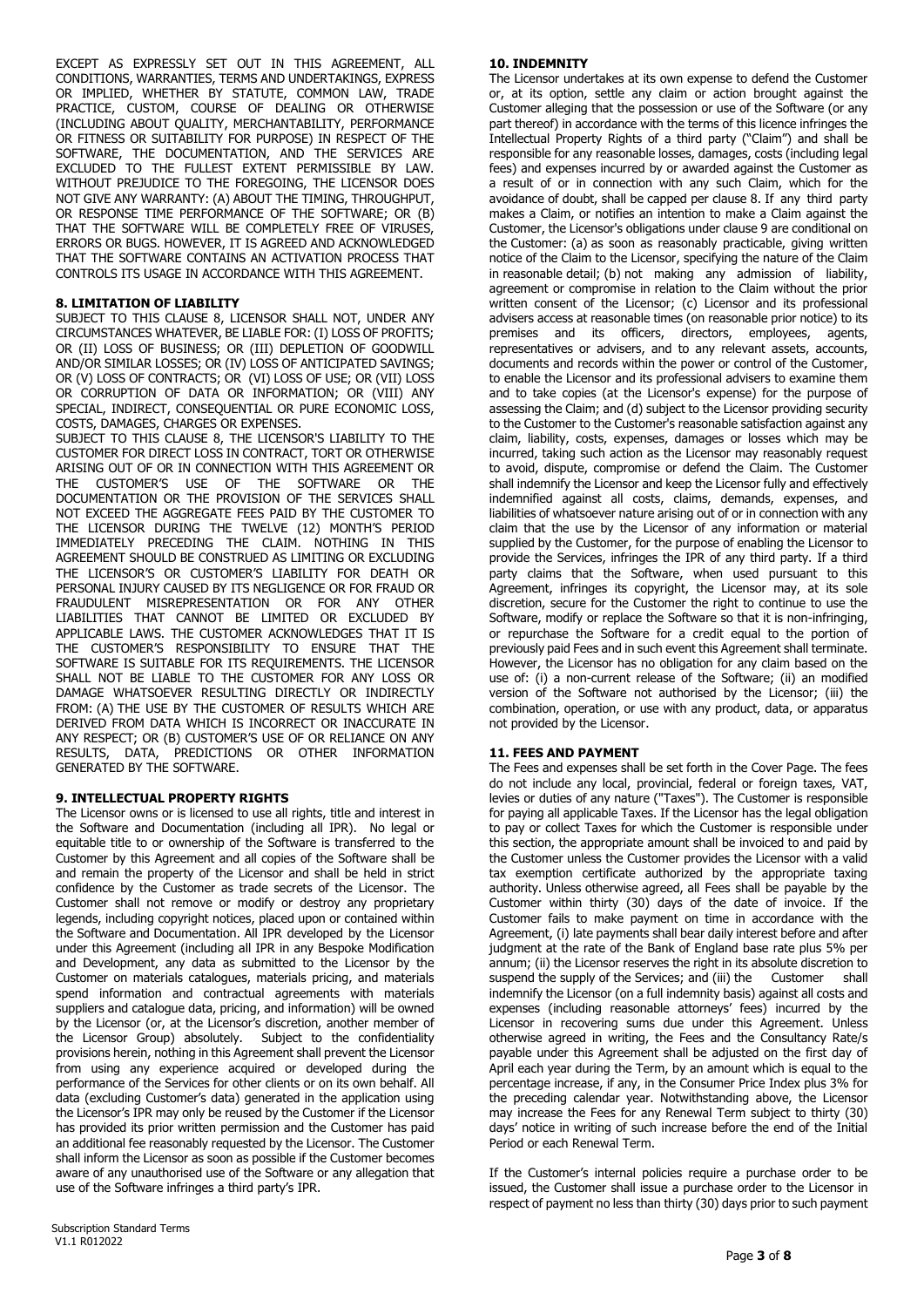EXCEPT AS EXPRESSLY SET OUT IN THIS AGREEMENT, ALL CONDITIONS, WARRANTIES, TERMS AND UNDERTAKINGS, EXPRESS OR IMPLIED, WHETHER BY STATUTE, COMMON LAW, TRADE PRACTICE, CUSTOM, COURSE OF DEALING OR OTHERWISE (INCLUDING ABOUT QUALITY, MERCHANTABILITY, PERFORMANCE OR FITNESS OR SUITABILITY FOR PURPOSE) IN RESPECT OF THE SOFTWARE, THE DOCUMENTATION, AND THE SERVICES ARE EXCLUDED TO THE FULLEST EXTENT PERMISSIBLE BY LAW. WITHOUT PREJUDICE TO THE FOREGOING, THE LICENSOR DOES NOT GIVE ANY WARRANTY: (A) ABOUT THE TIMING, THROUGHPUT, OR RESPONSE TIME PERFORMANCE OF THE SOFTWARE; OR (B) THAT THE SOFTWARE WILL BE COMPLETELY FREE OF VIRUSES, ERRORS OR BUGS. HOWEVER, IT IS AGREED AND ACKNOWLEDGED THAT THE SOFTWARE CONTAINS AN ACTIVATION PROCESS THAT CONTROLS ITS USAGE IN ACCORDANCE WITH THIS AGREEMENT.

## **8. LIMITATION OF LIABILITY**

SUBJECT TO THIS CLAUSE 8, LICENSOR SHALL NOT, UNDER ANY CIRCUMSTANCES WHATEVER, BE LIABLE FOR: (I) LOSS OF PROFITS; OR (II) LOSS OF BUSINESS; OR (III) DEPLETION OF GOODWILL AND/OR SIMILAR LOSSES; OR (IV) LOSS OF ANTICIPATED SAVINGS; OR (V) LOSS OF CONTRACTS; OR (VI) LOSS OF USE; OR (VII) LOSS OR CORRUPTION OF DATA OR INFORMATION; OR (VIII) ANY SPECIAL, INDIRECT, CONSEQUENTIAL OR PURE ECONOMIC LOSS, COSTS, DAMAGES, CHARGES OR EXPENSES.

SUBJECT TO THIS CLAUSE 8, THE LICENSOR'S LIABILITY TO THE CUSTOMER FOR DIRECT LOSS IN CONTRACT, TORT OR OTHERWISE ARISING OUT OF OR IN CONNECTION WITH THIS AGREEMENT OR CUSTOMER'S USE OF THE SOFTWARE OR THE DOCUMENTATION OR THE PROVISION OF THE SERVICES SHALL NOT EXCEED THE AGGREGATE FEES PAID BY THE CUSTOMER TO THE LICENSOR DURING THE TWELVE (12) MONTH'S PERIOD IMMEDIATELY PRECEDING THE CLAIM. NOTHING IN THIS AGREEMENT SHOULD BE CONSTRUED AS LIMITING OR EXCLUDING THE LICENSOR'S OR CUSTOMER'S LIABILITY FOR DEATH OR PERSONAL INJURY CAUSED BY ITS NEGLIGENCE OR FOR FRAUD OR FRAUDULENT MISREPRESENTATION OR FOR ANY OTHER LIABILITIES THAT CANNOT BE LIMITED OR EXCLUDED BY APPLICABLE LAWS. THE CUSTOMER ACKNOWLEDGES THAT IT IS THE CUSTOMER'S RESPONSIBILITY TO ENSURE THAT THE SOFTWARE IS SUITABLE FOR ITS REQUIREMENTS. THE LICENSOR SHALL NOT BE LIABLE TO THE CUSTOMER FOR ANY LOSS OR DAMAGE WHATSOEVER RESULTING DIRECTLY OR INDIRECTLY FROM: (A) THE USE BY THE CUSTOMER OF RESULTS WHICH ARE DERIVED FROM DATA WHICH IS INCORRECT OR INACCURATE IN ANY RESPECT; OR (B) CUSTOMER'S USE OF OR RELIANCE ON ANY RESULTS, DATA, PREDICTIONS OR OTHER INFORMATION GENERATED BY THE SOFTWARE.

# **9. INTELLECTUAL PROPERTY RIGHTS**

The Licensor owns or is licensed to use all rights, title and interest in the Software and Documentation (including all IPR). No legal or equitable title to or ownership of the Software is transferred to the Customer by this Agreement and all copies of the Software shall be and remain the property of the Licensor and shall be held in strict confidence by the Customer as trade secrets of the Licensor. The Customer shall not remove or modify or destroy any proprietary legends, including copyright notices, placed upon or contained within the Software and Documentation. All IPR developed by the Licensor under this Agreement (including all IPR in any Bespoke Modification and Development, any data as submitted to the Licensor by the Customer on materials catalogues, materials pricing, and materials spend information and contractual agreements with materials suppliers and catalogue data, pricing, and information) will be owned by the Licensor (or, at the Licensor's discretion, another member of the Licensor Group) absolutely. Subject to the confidentiality provisions herein, nothing in this Agreement shall prevent the Licensor from using any experience acquired or developed during the performance of the Services for other clients or on its own behalf. All data (excluding Customer's data) generated in the application using the Licensor's IPR may only be reused by the Customer if the Licensor has provided its prior written permission and the Customer has paid an additional fee reasonably requested by the Licensor. The Customer shall inform the Licensor as soon as possible if the Customer becomes aware of any unauthorised use of the Software or any allegation that use of the Software infringes a third party's IPR.

The Licensor undertakes at its own expense to defend the Customer or, at its option, settle any claim or action brought against the Customer alleging that the possession or use of the Software (or any part thereof) in accordance with the terms of this licence infringes the Intellectual Property Rights of a third party ("Claim") and shall be responsible for any reasonable losses, damages, costs (including legal fees) and expenses incurred by or awarded against the Customer as a result of or in connection with any such Claim, which for the avoidance of doubt, shall be capped per clause 8. If any third party makes a Claim, or notifies an intention to make a Claim against the Customer, the Licensor's obligations under clause 9 are conditional on the Customer: (a) as soon as reasonably practicable, giving written notice of the Claim to the Licensor, specifying the nature of the Claim in reasonable detail; (b) not making any admission of liability, agreement or compromise in relation to the Claim without the prior written consent of the Licensor; (c) Licensor and its professional advisers access at reasonable times (on reasonable prior notice) to its premises and its officers, directors, employees, agents, representatives or advisers, and to any relevant assets, accounts, documents and records within the power or control of the Customer, to enable the Licensor and its professional advisers to examine them and to take copies (at the Licensor's expense) for the purpose of assessing the Claim; and (d) subject to the Licensor providing security to the Customer to the Customer's reasonable satisfaction against any claim, liability, costs, expenses, damages or losses which may be incurred, taking such action as the Licensor may reasonably request to avoid, dispute, compromise or defend the Claim. The Customer shall indemnify the Licensor and keep the Licensor fully and effectively indemnified against all costs, claims, demands, expenses, and liabilities of whatsoever nature arising out of or in connection with any claim that the use by the Licensor of any information or material supplied by the Customer, for the purpose of enabling the Licensor to provide the Services, infringes the IPR of any third party. If a third party claims that the Software, when used pursuant to this Agreement, infringes its copyright, the Licensor may, at its sole discretion, secure for the Customer the right to continue to use the Software, modify or replace the Software so that it is non-infringing, or repurchase the Software for a credit equal to the portion of previously paid Fees and in such event this Agreement shall terminate. However, the Licensor has no obligation for any claim based on the use of: (i) a non-current release of the Software; (ii) an modified version of the Software not authorised by the Licensor; (iii) the combination, operation, or use with any product, data, or apparatus not provided by the Licensor.

## **11. FEES AND PAYMENT**

The Fees and expenses shall be set forth in the Cover Page. The fees do not include any local, provincial, federal or foreign taxes, VAT, levies or duties of any nature ("Taxes"). The Customer is responsible for paying all applicable Taxes. If the Licensor has the legal obligation to pay or collect Taxes for which the Customer is responsible under this section, the appropriate amount shall be invoiced to and paid by the Customer unless the Customer provides the Licensor with a valid tax exemption certificate authorized by the appropriate taxing authority. Unless otherwise agreed, all Fees shall be payable by the Customer within thirty (30) days of the date of invoice. If the Customer fails to make payment on time in accordance with the Agreement, (i) late payments shall bear daily interest before and after judgment at the rate of the Bank of England base rate plus 5% per annum; (ii) the Licensor reserves the right in its absolute discretion to suspend the supply of the Services; and (iii) the Customer shall indemnify the Licensor (on a full indemnity basis) against all costs and expenses (including reasonable attorneys' fees) incurred by the Licensor in recovering sums due under this Agreement. Unless otherwise agreed in writing, the Fees and the Consultancy Rate/s payable under this Agreement shall be adjusted on the first day of April each year during the Term, by an amount which is equal to the percentage increase, if any, in the Consumer Price Index plus 3% for the preceding calendar year. Notwithstanding above, the Licensor may increase the Fees for any Renewal Term subject to thirty (30) days' notice in writing of such increase before the end of the Initial Period or each Renewal Term.

If the Customer's internal policies require a purchase order to be issued, the Customer shall issue a purchase order to the Licensor in respect of payment no less than thirty (30) days prior to such payment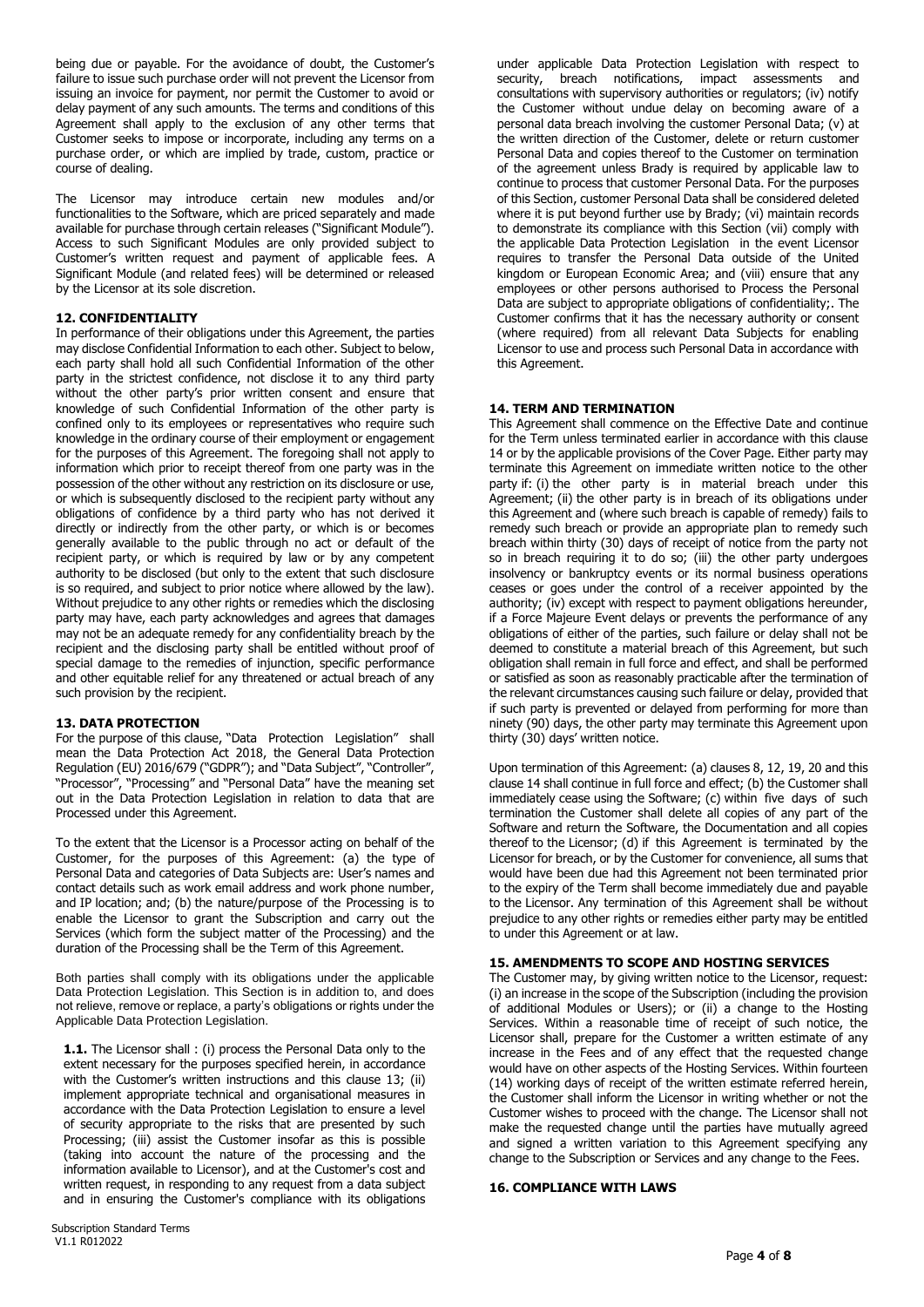being due or payable. For the avoidance of doubt, the Customer's failure to issue such purchase order will not prevent the Licensor from issuing an invoice for payment, nor permit the Customer to avoid or delay payment of any such amounts. The terms and conditions of this Agreement shall apply to the exclusion of any other terms that Customer seeks to impose or incorporate, including any terms on a purchase order, or which are implied by trade, custom, practice or course of dealing.

The Licensor may introduce certain new modules and/or functionalities to the Software, which are priced separately and made available for purchase through certain releases ("Significant Module"). Access to such Significant Modules are only provided subject to Customer's written request and payment of applicable fees. A Significant Module (and related fees) will be determined or released by the Licensor at its sole discretion.

## **12. CONFIDENTIALITY**

In performance of their obligations under this Agreement, the parties may disclose Confidential Information to each other. Subject to below, each party shall hold all such Confidential Information of the other party in the strictest confidence, not disclose it to any third party without the other party's prior written consent and ensure that knowledge of such Confidential Information of the other party is confined only to its employees or representatives who require such knowledge in the ordinary course of their employment or engagement for the purposes of this Agreement. The foregoing shall not apply to information which prior to receipt thereof from one party was in the possession of the other without any restriction on its disclosure or use, or which is subsequently disclosed to the recipient party without any obligations of confidence by a third party who has not derived it directly or indirectly from the other party, or which is or becomes generally available to the public through no act or default of the recipient party, or which is required by law or by any competent authority to be disclosed (but only to the extent that such disclosure is so required, and subject to prior notice where allowed by the law). Without prejudice to any other rights or remedies which the disclosing party may have, each party acknowledges and agrees that damages may not be an adequate remedy for any confidentiality breach by the recipient and the disclosing party shall be entitled without proof of special damage to the remedies of injunction, specific performance and other equitable relief for any threatened or actual breach of any such provision by the recipient.

#### **13. DATA PROTECTION**

For the purpose of this clause, "Data Protection Legislation" shall mean the Data Protection Act 2018, the General Data Protection Regulation (EU) 2016/679 ("GDPR"); and "Data Subject", "Controller", "Processor", "Processing" and "Personal Data" have the meaning set out in the Data Protection Legislation in relation to data that are Processed under this Agreement.

To the extent that the Licensor is a Processor acting on behalf of the Customer, for the purposes of this Agreement: (a) the type of Personal Data and categories of Data Subjects are: User's names and contact details such as work email address and work phone number, and IP location; and; (b) the nature/purpose of the Processing is to enable the Licensor to grant the Subscription and carry out the Services (which form the subject matter of the Processing) and the duration of the Processing shall be the Term of this Agreement.

Both parties shall comply with its obligations under the applicable Data Protection Legislation. This Section is in addition to, and does not relieve, remove or replace, a party's obligations or rights under the Applicable Data Protection Legislation.

**1.1.** The Licensor shall: (i) process the Personal Data only to the extent necessary for the purposes specified herein, in accordance with the Customer's written instructions and this clause 13; (ii) implement appropriate technical and organisational measures in accordance with the Data Protection Legislation to ensure a level of security appropriate to the risks that are presented by such Processing; (iii) assist the Customer insofar as this is possible (taking into account the nature of the processing and the information available to Licensor), and at the Customer's cost and written request, in responding to any request from a data subject and in ensuring the Customer's compliance with its obligations under applicable Data Protection Legislation with respect to security, breach notifications, impact assessments and consultations with supervisory authorities or regulators; (iv) notify the Customer without undue delay on becoming aware of a personal data breach involving the customer Personal Data; (v) at the written direction of the Customer, delete or return customer Personal Data and copies thereof to the Customer on termination of the agreement unless Brady is required by applicable law to continue to process that customer Personal Data. For the purposes of this Section, customer Personal Data shall be considered deleted where it is put beyond further use by Brady; (vi) maintain records to demonstrate its compliance with this Section (vii) comply with the applicable Data Protection Legislation in the event Licensor requires to transfer the Personal Data outside of the United kingdom or European Economic Area; and (viii) ensure that any employees or other persons authorised to Process the Personal Data are subject to appropriate obligations of confidentiality;. The Customer confirms that it has the necessary authority or consent (where required) from all relevant Data Subjects for enabling Licensor to use and process such Personal Data in accordance with this Agreement.

### **14. TERM AND TERMINATION**

This Agreement shall commence on the Effective Date and continue for the Term unless terminated earlier in accordance with this clause 14 or by the applicable provisions of the Cover Page. Either party may terminate this Agreement on immediate written notice to the other party if: (i) the other party is in material breach under this Agreement; (ii) the other party is in breach of its obligations under this Agreement and (where such breach is capable of remedy) fails to remedy such breach or provide an appropriate plan to remedy such breach within thirty (30) days of receipt of notice from the party not so in breach requiring it to do so; (iii) the other party undergoes insolvency or bankruptcy events or its normal business operations ceases or goes under the control of a receiver appointed by the authority; (iv) except with respect to payment obligations hereunder, if a Force Majeure Event delays or prevents the performance of any obligations of either of the parties, such failure or delay shall not be deemed to constitute a material breach of this Agreement, but such obligation shall remain in full force and effect, and shall be performed or satisfied as soon as reasonably practicable after the termination of the relevant circumstances causing such failure or delay, provided that if such party is prevented or delayed from performing for more than ninety (90) days, the other party may terminate this Agreement upon thirty (30) days' written notice.

Upon termination of this Agreement: (a) clauses 8, 12, 19, 20 and this clause 14 shall continue in full force and effect; (b) the Customer shall immediately cease using the Software; (c) within five days of such termination the Customer shall delete all copies of any part of the Software and return the Software, the Documentation and all copies thereof to the Licensor; (d) if this Agreement is terminated by the Licensor for breach, or by the Customer for convenience, all sums that would have been due had this Agreement not been terminated prior to the expiry of the Term shall become immediately due and payable to the Licensor. Any termination of this Agreement shall be without prejudice to any other rights or remedies either party may be entitled to under this Agreement or at law.

#### **15. AMENDMENTS TO SCOPE AND HOSTING SERVICES**

The Customer may, by giving written notice to the Licensor, request: (i) an increase in the scope of the Subscription (including the provision of additional Modules or Users); or (ii) a change to the Hosting Services. Within a reasonable time of receipt of such notice, the Licensor shall, prepare for the Customer a written estimate of any increase in the Fees and of any effect that the requested change would have on other aspects of the Hosting Services. Within fourteen (14) working days of receipt of the written estimate referred herein, the Customer shall inform the Licensor in writing whether or not the Customer wishes to proceed with the change. The Licensor shall not make the requested change until the parties have mutually agreed and signed a written variation to this Agreement specifying any change to the Subscription or Services and any change to the Fees.

#### **16. COMPLIANCE WITH LAWS**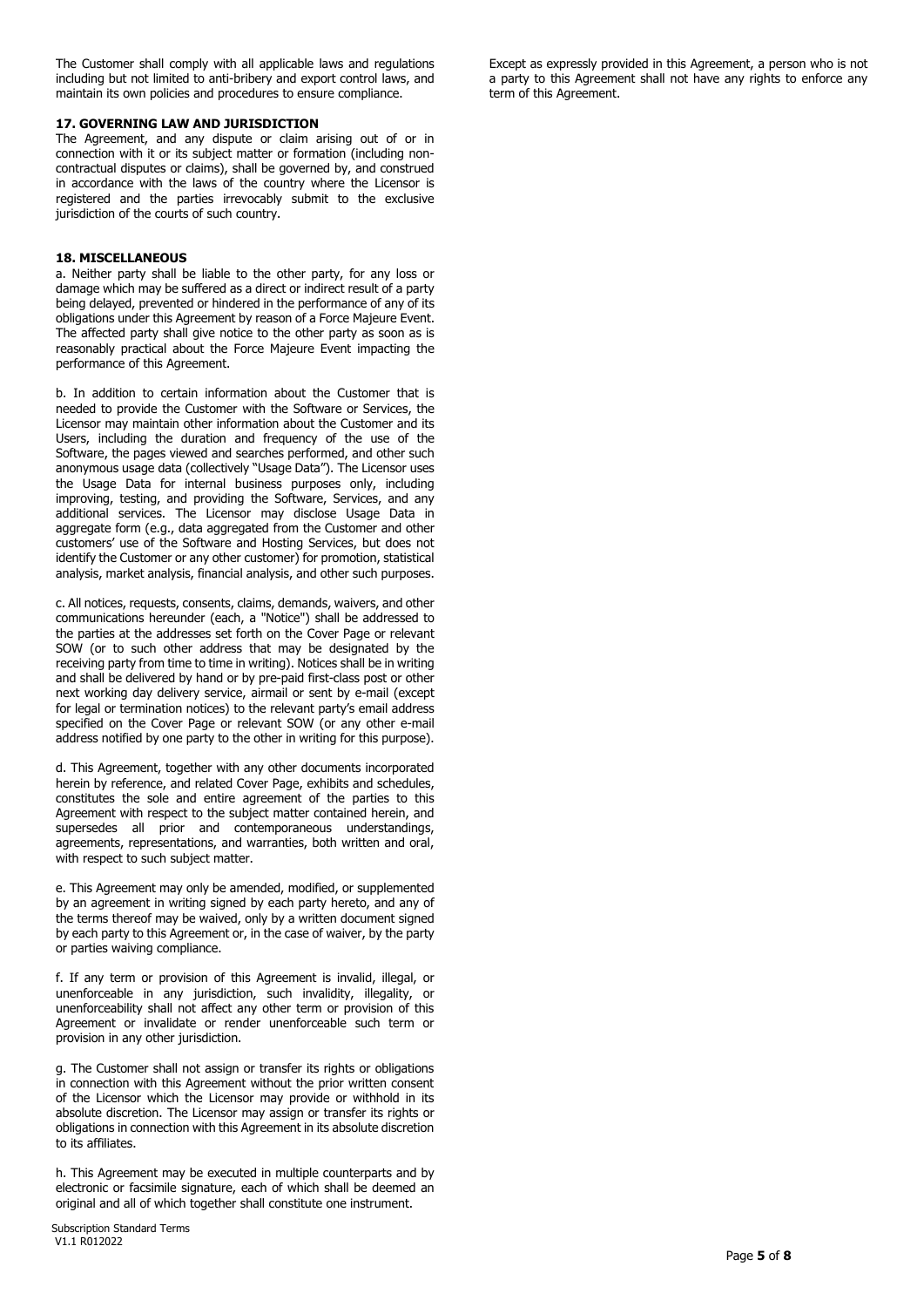The Customer shall comply with all applicable laws and regulations including but not limited to anti-bribery and export control laws, and maintain its own policies and procedures to ensure compliance.

### **17. GOVERNING LAW AND JURISDICTION**

The Agreement, and any dispute or claim arising out of or in connection with it or its subject matter or formation (including noncontractual disputes or claims), shall be governed by, and construed in accordance with the laws of the country where the Licensor is registered and the parties irrevocably submit to the exclusive jurisdiction of the courts of such country.

## **18. MISCELLANEOUS**

a. Neither party shall be liable to the other party, for any loss or damage which may be suffered as a direct or indirect result of a party being delayed, prevented or hindered in the performance of any of its obligations under this Agreement by reason of a Force Majeure Event. The affected party shall give notice to the other party as soon as is reasonably practical about the Force Majeure Event impacting the performance of this Agreement.

b. In addition to certain information about the Customer that is needed to provide the Customer with the Software or Services, the Licensor may maintain other information about the Customer and its Users, including the duration and frequency of the use of the Software, the pages viewed and searches performed, and other such anonymous usage data (collectively "Usage Data"). The Licensor uses the Usage Data for internal business purposes only, including improving, testing, and providing the Software, Services, and any additional services. The Licensor may disclose Usage Data in aggregate form (e.g., data aggregated from the Customer and other customers' use of the Software and Hosting Services, but does not identify the Customer or any other customer) for promotion, statistical analysis, market analysis, financial analysis, and other such purposes.

c. All notices, requests, consents, claims, demands, waivers, and other communications hereunder (each, a "Notice") shall be addressed to the parties at the addresses set forth on the Cover Page or relevant SOW (or to such other address that may be designated by the receiving party from time to time in writing). Notices shall be in writing and shall be delivered by hand or by pre-paid first-class post or other next working day delivery service, airmail or sent by e-mail (except for legal or termination notices) to the relevant party's email address specified on the Cover Page or relevant SOW (or any other e-mail address notified by one party to the other in writing for this purpose).

d. This Agreement, together with any other documents incorporated herein by reference, and related Cover Page, exhibits and schedules, constitutes the sole and entire agreement of the parties to this Agreement with respect to the subject matter contained herein, and supersedes all prior and contemporaneous understandings, agreements, representations, and warranties, both written and oral, with respect to such subject matter.

e. This Agreement may only be amended, modified, or supplemented by an agreement in writing signed by each party hereto, and any of the terms thereof may be waived, only by a written document signed by each party to this Agreement or, in the case of waiver, by the party or parties waiving compliance.

f. If any term or provision of this Agreement is invalid, illegal, or unenforceable in any jurisdiction, such invalidity, illegality, or unenforceability shall not affect any other term or provision of this Agreement or invalidate or render unenforceable such term or provision in any other jurisdiction.

g. The Customer shall not assign or transfer its rights or obligations in connection with this Agreement without the prior written consent of the Licensor which the Licensor may provide or withhold in its absolute discretion. The Licensor may assign or transfer its rights or obligations in connection with this Agreement in its absolute discretion to its affiliates.

h. This Agreement may be executed in multiple counterparts and by electronic or facsimile signature, each of which shall be deemed an original and all of which together shall constitute one instrument.

Except as expressly provided in this Agreement, a person who is not a party to this Agreement shall not have any rights to enforce any term of this Agreement.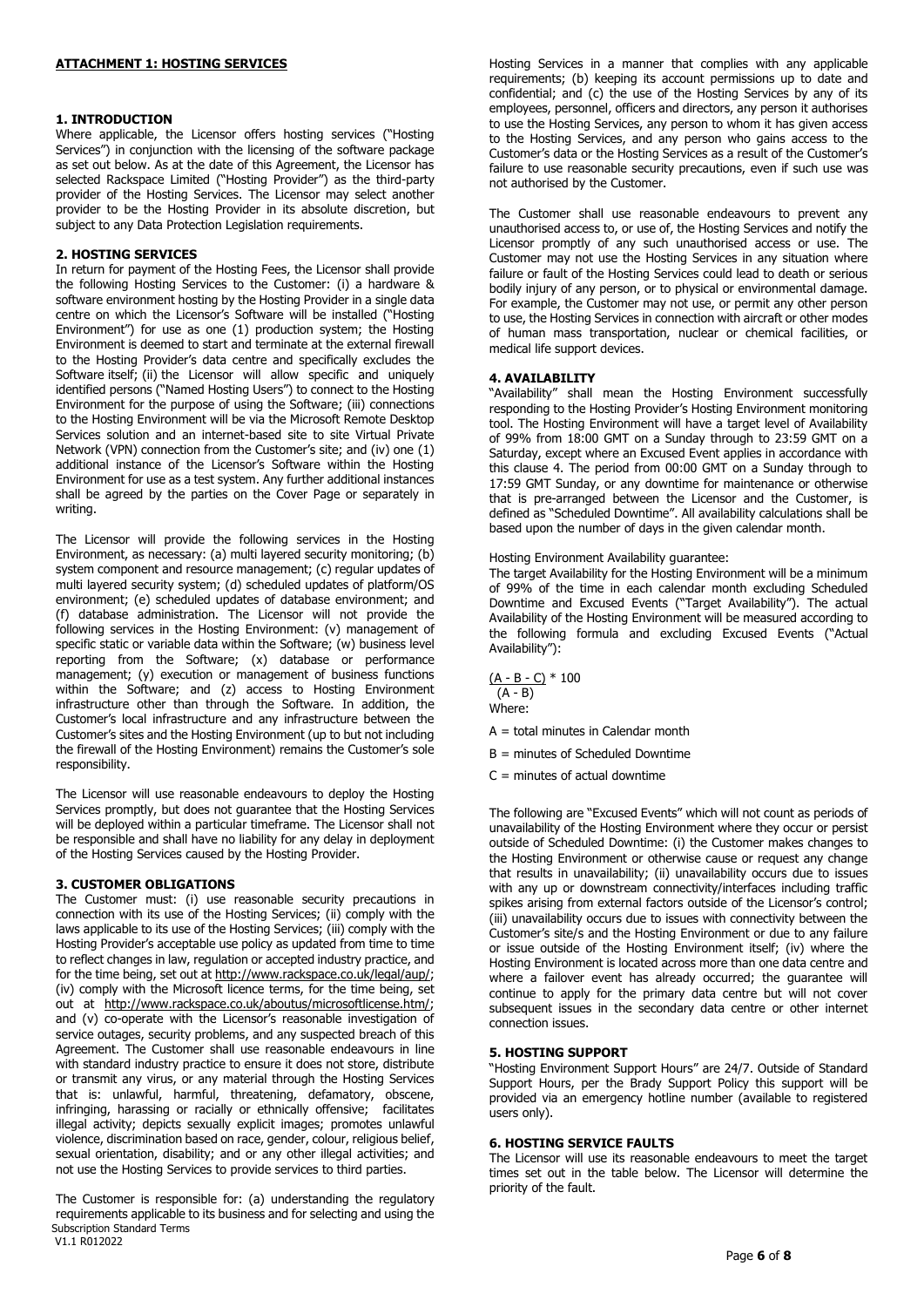## **1. INTRODUCTION**

Where applicable, the Licensor offers hosting services ("Hosting Services") in conjunction with the licensing of the software package as set out below. As at the date of this Agreement, the Licensor has selected Rackspace Limited ("Hosting Provider") as the third-party provider of the Hosting Services. The Licensor may select another provider to be the Hosting Provider in its absolute discretion, but subject to any Data Protection Legislation requirements.

### **2. HOSTING SERVICES**

In return for payment of the Hosting Fees, the Licensor shall provide the following Hosting Services to the Customer: (i) a hardware & software environment hosting by the Hosting Provider in a single data centre on which the Licensor's Software will be installed ("Hosting Environment") for use as one (1) production system; the Hosting Environment is deemed to start and terminate at the external firewall to the Hosting Provider's data centre and specifically excludes the Software itself; (ii) the Licensor will allow specific and uniquely identified persons ("Named Hosting Users") to connect to the Hosting Environment for the purpose of using the Software; (iii) connections to the Hosting Environment will be via the Microsoft Remote Desktop Services solution and an internet-based site to site Virtual Private Network (VPN) connection from the Customer's site; and (iv) one (1) additional instance of the Licensor's Software within the Hosting Environment for use as a test system. Any further additional instances shall be agreed by the parties on the Cover Page or separately in writing.

The Licensor will provide the following services in the Hosting Environment, as necessary: (a) multi layered security monitoring; (b) system component and resource management; (c) regular updates of multi layered security system; (d) scheduled updates of platform/OS environment; (e) scheduled updates of database environment; and (f) database administration. The Licensor will not provide the following services in the Hosting Environment: (v) management of specific static or variable data within the Software; (w) business level reporting from the Software; (x) database or performance management; (y) execution or management of business functions within the Software; and (z) access to Hosting Environment infrastructure other than through the Software. In addition, the Customer's local infrastructure and any infrastructure between the Customer's sites and the Hosting Environment (up to but not including the firewall of the Hosting Environment) remains the Customer's sole responsibility.

The Licensor will use reasonable endeavours to deploy the Hosting Services promptly, but does not guarantee that the Hosting Services will be deployed within a particular timeframe. The Licensor shall not be responsible and shall have no liability for any delay in deployment of the Hosting Services caused by the Hosting Provider.

#### **3. CUSTOMER OBLIGATIONS**

The Customer must: (i) use reasonable security precautions in connection with its use of the Hosting Services; (ii) comply with the laws applicable to its use of the Hosting Services; (iii) comply with the Hosting Provider's acceptable use policy as updated from time to time to reflect changes in law, regulation or accepted industry practice, and for the time being, set out at [http://www.rackspace.co.uk/legal/aup/;](http://www.rackspace.co.uk/legal/aup/) (iv) comply with the Microsoft licence terms, for the time being, set out at [http://www.rackspace.co.uk/aboutus/microsoftlicense.htm/;](http://www.rackspace.co.uk/aboutus/microsoftlicense.htm/) and (v) co-operate with the Licensor's reasonable investigation of service outages, security problems, and any suspected breach of this Agreement. The Customer shall use reasonable endeavours in line with standard industry practice to ensure it does not store, distribute or transmit any virus, or any material through the Hosting Services that is: unlawful, harmful, threatening, defamatory, obscene, infringing, harassing or racially or ethnically offensive; facilitates illegal activity; depicts sexually explicit images; promotes unlawful violence, discrimination based on race, gender, colour, religious belief, sexual orientation, disability; and or any other illegal activities; and not use the Hosting Services to provide services to third parties.

 Subscription Standard Terms V1.1 R012022 The Customer is responsible for: (a) understanding the regulatory requirements applicable to its business and for selecting and using the Hosting Services in a manner that complies with any applicable requirements; (b) keeping its account permissions up to date and confidential; and (c) the use of the Hosting Services by any of its employees, personnel, officers and directors, any person it authorises to use the Hosting Services, any person to whom it has given access to the Hosting Services, and any person who gains access to the Customer's data or the Hosting Services as a result of the Customer's failure to use reasonable security precautions, even if such use was not authorised by the Customer.

The Customer shall use reasonable endeavours to prevent any unauthorised access to, or use of, the Hosting Services and notify the Licensor promptly of any such unauthorised access or use. The Customer may not use the Hosting Services in any situation where failure or fault of the Hosting Services could lead to death or serious bodily injury of any person, or to physical or environmental damage. For example, the Customer may not use, or permit any other person to use, the Hosting Services in connection with aircraft or other modes of human mass transportation, nuclear or chemical facilities, or medical life support devices.

#### **4. AVAILABILITY**

"Availability" shall mean the Hosting Environment successfully responding to the Hosting Provider's Hosting Environment monitoring tool. The Hosting Environment will have a target level of Availability of 99% from 18:00 GMT on a Sunday through to 23:59 GMT on a Saturday, except where an Excused Event applies in accordance with this clause 4. The period from 00:00 GMT on a Sunday through to 17:59 GMT Sunday, or any downtime for maintenance or otherwise that is pre-arranged between the Licensor and the Customer, is defined as "Scheduled Downtime". All availability calculations shall be based upon the number of days in the given calendar month.

Hosting Environment Availability guarantee:

The target Availability for the Hosting Environment will be a minimum of 99% of the time in each calendar month excluding Scheduled Downtime and Excused Events ("Target Availability"). The actual Availability of the Hosting Environment will be measured according to the following formula and excluding Excused Events ("Actual Availability"):

 $(A - B - C) * 100$  $(A - B)$ Where:

 $A =$  total minutes in Calendar month

- B = minutes of Scheduled Downtime
- $C =$  minutes of actual downtime

The following are "Excused Events" which will not count as periods of unavailability of the Hosting Environment where they occur or persist outside of Scheduled Downtime: (i) the Customer makes changes to the Hosting Environment or otherwise cause or request any change that results in unavailability; (ii) unavailability occurs due to issues with any up or downstream connectivity/interfaces including traffic spikes arising from external factors outside of the Licensor's control; (iii) unavailability occurs due to issues with connectivity between the Customer's site/s and the Hosting Environment or due to any failure or issue outside of the Hosting Environment itself; (iv) where the Hosting Environment is located across more than one data centre and where a failover event has already occurred; the guarantee will continue to apply for the primary data centre but will not cover subsequent issues in the secondary data centre or other internet connection issues.

## **5. HOSTING SUPPORT**

"Hosting Environment Support Hours" are 24/7. Outside of Standard Support Hours, per the Brady Support Policy this support will be provided via an emergency hotline number (available to registered users only).

### **6. HOSTING SERVICE FAULTS**

The Licensor will use its reasonable endeavours to meet the target times set out in the table below. The Licensor will determine the priority of the fault.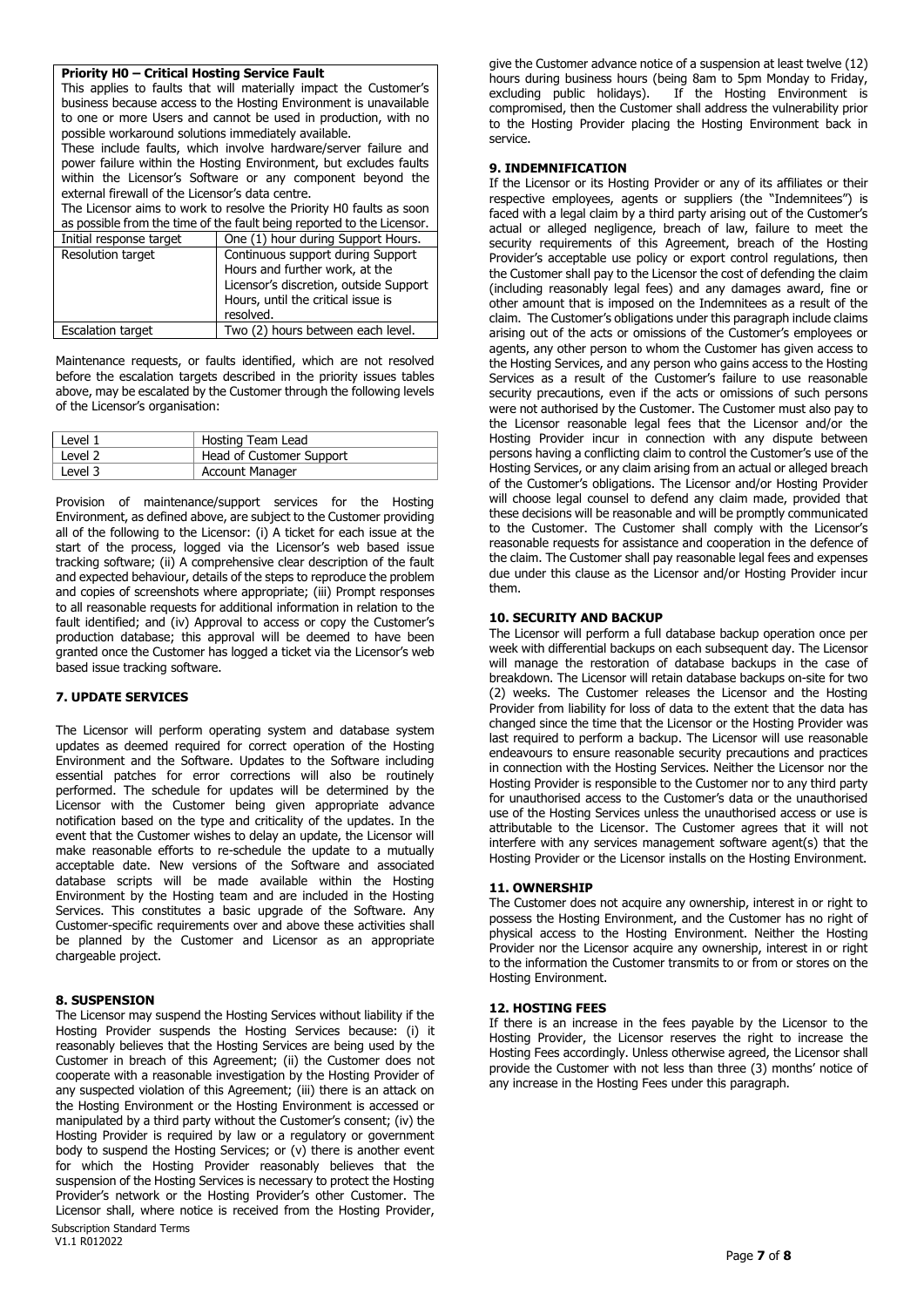## **Priority H0 – Critical Hosting Service Fault**

This applies to faults that will materially impact the Customer's business because access to the Hosting Environment is unavailable to one or more Users and cannot be used in production, with no possible workaround solutions immediately available.

These include faults, which involve hardware/server failure and power failure within the Hosting Environment, but excludes faults within the Licensor's Software or any component beyond the external firewall of the Licensor's data centre.

The Licensor aims to work to resolve the Priority H0 faults as soon as possible from the time of the fault being reported to the Licensor.

| Initial response target  | One (1) hour during Support Hours.                                                                                                                               |
|--------------------------|------------------------------------------------------------------------------------------------------------------------------------------------------------------|
| <b>Resolution target</b> | Continuous support during Support<br>Hours and further work, at the<br>Licensor's discretion, outside Support<br>Hours, until the critical issue is<br>resolved. |
| <b>Escalation target</b> | Two (2) hours between each level.                                                                                                                                |

Maintenance requests, or faults identified, which are not resolved before the escalation targets described in the priority issues tables above, may be escalated by the Customer through the following levels of the Licensor's organisation:

| Level 1 | Hosting Team Lead        |
|---------|--------------------------|
| Level 2 | Head of Customer Support |
| Level 3 | <b>Account Manager</b>   |

Provision of maintenance/support services for the Hosting Environment, as defined above, are subject to the Customer providing all of the following to the Licensor: (i) A ticket for each issue at the start of the process, logged via the Licensor's web based issue tracking software; (ii) A comprehensive clear description of the fault and expected behaviour, details of the steps to reproduce the problem and copies of screenshots where appropriate; (iii) Prompt responses to all reasonable requests for additional information in relation to the fault identified; and (iv) Approval to access or copy the Customer's production database; this approval will be deemed to have been granted once the Customer has logged a ticket via the Licensor's web based issue tracking software.

## **7. UPDATE SERVICES**

The Licensor will perform operating system and database system updates as deemed required for correct operation of the Hosting Environment and the Software. Updates to the Software including essential patches for error corrections will also be routinely performed. The schedule for updates will be determined by the Licensor with the Customer being given appropriate advance notification based on the type and criticality of the updates. In the event that the Customer wishes to delay an update, the Licensor will make reasonable efforts to re-schedule the update to a mutually acceptable date. New versions of the Software and associated database scripts will be made available within the Hosting Environment by the Hosting team and are included in the Hosting Services. This constitutes a basic upgrade of the Software. Any Customer-specific requirements over and above these activities shall be planned by the Customer and Licensor as an appropriate chargeable project.

## **8. SUSPENSION**

 Subscription Standard Terms V1.1 R012022 The Licensor may suspend the Hosting Services without liability if the Hosting Provider suspends the Hosting Services because: (i) it reasonably believes that the Hosting Services are being used by the Customer in breach of this Agreement; (ii) the Customer does not cooperate with a reasonable investigation by the Hosting Provider of any suspected violation of this Agreement; (iii) there is an attack on the Hosting Environment or the Hosting Environment is accessed or manipulated by a third party without the Customer's consent; (iv) the Hosting Provider is required by law or a regulatory or government body to suspend the Hosting Services; or (v) there is another event for which the Hosting Provider reasonably believes that the suspension of the Hosting Services is necessary to protect the Hosting Provider's network or the Hosting Provider's other Customer. The Licensor shall, where notice is received from the Hosting Provider,

give the Customer advance notice of a suspension at least twelve (12) hours during business hours (being 8am to 5pm Monday to Friday, excluding public holidays). If the Hosting Environment is If the Hosting Environment is compromised, then the Customer shall address the vulnerability prior to the Hosting Provider placing the Hosting Environment back in service.

## **9. INDEMNIFICATION**

If the Licensor or its Hosting Provider or any of its affiliates or their respective employees, agents or suppliers (the "Indemnitees") is faced with a legal claim by a third party arising out of the Customer's actual or alleged negligence, breach of law, failure to meet the security requirements of this Agreement, breach of the Hosting Provider's acceptable use policy or export control regulations, then the Customer shall pay to the Licensor the cost of defending the claim (including reasonably legal fees) and any damages award, fine or other amount that is imposed on the Indemnitees as a result of the claim. The Customer's obligations under this paragraph include claims arising out of the acts or omissions of the Customer's employees or agents, any other person to whom the Customer has given access to the Hosting Services, and any person who gains access to the Hosting Services as a result of the Customer's failure to use reasonable security precautions, even if the acts or omissions of such persons were not authorised by the Customer. The Customer must also pay to the Licensor reasonable legal fees that the Licensor and/or the Hosting Provider incur in connection with any dispute between persons having a conflicting claim to control the Customer's use of the Hosting Services, or any claim arising from an actual or alleged breach of the Customer's obligations. The Licensor and/or Hosting Provider will choose legal counsel to defend any claim made, provided that these decisions will be reasonable and will be promptly communicated to the Customer. The Customer shall comply with the Licensor's reasonable requests for assistance and cooperation in the defence of the claim. The Customer shall pay reasonable legal fees and expenses due under this clause as the Licensor and/or Hosting Provider incur them.

### **10. SECURITY AND BACKUP**

The Licensor will perform a full database backup operation once per week with differential backups on each subsequent day. The Licensor will manage the restoration of database backups in the case of breakdown. The Licensor will retain database backups on-site for two (2) weeks. The Customer releases the Licensor and the Hosting Provider from liability for loss of data to the extent that the data has changed since the time that the Licensor or the Hosting Provider was last required to perform a backup. The Licensor will use reasonable endeavours to ensure reasonable security precautions and practices in connection with the Hosting Services. Neither the Licensor nor the Hosting Provider is responsible to the Customer nor to any third party for unauthorised access to the Customer's data or the unauthorised use of the Hosting Services unless the unauthorised access or use is attributable to the Licensor. The Customer agrees that it will not interfere with any services management software agent(s) that the Hosting Provider or the Licensor installs on the Hosting Environment.

#### **11. OWNERSHIP**

The Customer does not acquire any ownership, interest in or right to possess the Hosting Environment, and the Customer has no right of physical access to the Hosting Environment. Neither the Hosting Provider nor the Licensor acquire any ownership, interest in or right to the information the Customer transmits to or from or stores on the Hosting Environment.

#### **12. HOSTING FEES**

If there is an increase in the fees payable by the Licensor to the Hosting Provider, the Licensor reserves the right to increase the Hosting Fees accordingly. Unless otherwise agreed, the Licensor shall provide the Customer with not less than three (3) months' notice of any increase in the Hosting Fees under this paragraph.